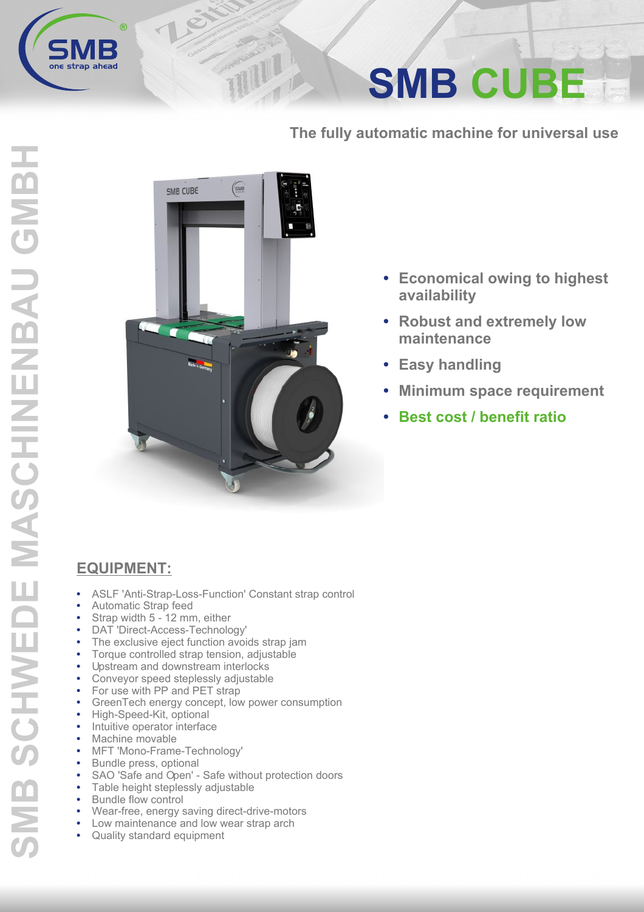

## **SMB CUBE**

The fully automatic machine for universal use



TIIL

- Economical owing to highest availability
- Robust and extremely low maintenance
- Easy handling
- **Minimum space requirement**
- **Best cost / benefit ratio**

## **EQUIPMENT:**

- ASLF 'Anti-Strap-Loss-Function' Constant strap control  $\bullet$
- Automatic Strap feed
- Strap width 5 12 mm, either  $\bullet$
- DAT 'Direct-Access-Technology'  $\bullet$
- The exclusive eject function avoids strap jam
- Torque controlled strap tension, adjustable
- Upstream and downstream interlocks  $\bullet$
- $\bullet$ Conveyor speed steplessly adjustable
- For use with PP and PET strap  $\bullet$ GreenTech energy concept, low power consumption
- $\bullet$ High-Speed-Kit, optional
- Intuitive operator interface  $\bullet$
- $\bullet$ Machine movable
- MFT 'Mono-Frame-Technology'
- $\bullet$ Bundle press, optional
- SAO 'Safe and Open' Safe without protection doors
- $\bullet$ Table height steplessly adjustable
- Bundle flow control
- Wear-free, energy saving direct-drive-motors
- Low maintenance and low wear strap arch
- Quality standard equipment